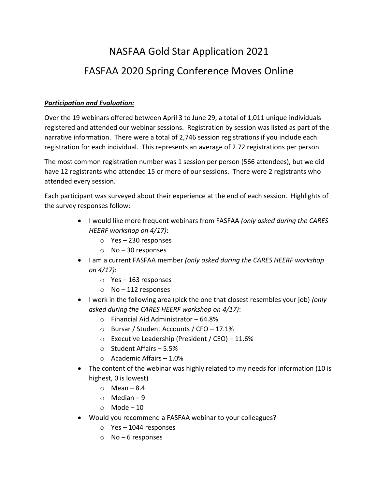## NASFAA Gold Star Application 2021 FASFAA 2020 Spring Conference Moves Online

## *Participation and Evaluation:*

Over the 19 webinars offered between April 3 to June 29, a total of 1,011 unique individuals registered and attended our webinar sessions. Registration by session was listed as part of the narrative information. There were a total of 2,746 session registrations if you include each registration for each individual. This represents an average of 2.72 registrations per person.

The most common registration number was 1 session per person (566 attendees), but we did have 12 registrants who attended 15 or more of our sessions. There were 2 registrants who attended every session.

Each participant was surveyed about their experience at the end of each session. Highlights of the survey responses follow:

- I would like more frequent webinars from FASFAA *(only asked during the CARES HEERF workshop on 4/17)*:
	- o Yes 230 responses
	- o No 30 responses
- I am a current FASFAA member *(only asked during the CARES HEERF workshop on 4/17)*:
	- o Yes 163 responses
	- $\circ$  No 112 responses
- I work in the following area (pick the one that closest resembles your job) *(only asked during the CARES HEERF workshop on 4/17)*:
	- o Financial Aid Administrator 64.8%
	- o Bursar / Student Accounts / CFO 17.1%
	- $\circ$  Executive Leadership (President / CEO) 11.6%
	- o Student Affairs 5.5%
	- $\circ$  Academic Affairs 1.0%
- The content of the webinar was highly related to my needs for information (10 is highest, 0 is lowest)
	- $\circ$  Mean 8.4
	- $\circ$  Median 9
	- $\circ$  Mode 10
- Would you recommend a FASFAA webinar to your colleagues?
	- o Yes 1044 responses
	- $\circ$  No 6 responses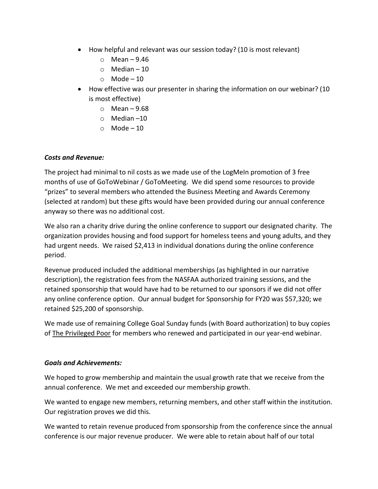- How helpful and relevant was our session today? (10 is most relevant)
	- $\circ$  Mean 9.46
	- $\circ$  Median 10
	- $\circ$  Mode 10
- How effective was our presenter in sharing the information on our webinar? (10 is most effective)
	- o Mean 9.68
	- o Median –10
	- $\circ$  Mode 10

## *Costs and Revenue:*

The project had minimal to nil costs as we made use of the LogMeIn promotion of 3 free months of use of GoToWebinar / GoToMeeting. We did spend some resources to provide "prizes" to several members who attended the Business Meeting and Awards Ceremony (selected at random) but these gifts would have been provided during our annual conference anyway so there was no additional cost.

We also ran a charity drive during the online conference to support our designated charity. The organization provides housing and food support for homeless teens and young adults, and they had urgent needs. We raised \$2,413 in individual donations during the online conference period.

Revenue produced included the additional memberships (as highlighted in our narrative description), the registration fees from the NASFAA authorized training sessions, and the retained sponsorship that would have had to be returned to our sponsors if we did not offer any online conference option. Our annual budget for Sponsorship for FY20 was \$57,320; we retained \$25,200 of sponsorship.

We made use of remaining College Goal Sunday funds (with Board authorization) to buy copies of The Privileged Poor for members who renewed and participated in our year-end webinar.

## *Goals and Achievements:*

We hoped to grow membership and maintain the usual growth rate that we receive from the annual conference. We met and exceeded our membership growth.

We wanted to engage new members, returning members, and other staff within the institution. Our registration proves we did this.

We wanted to retain revenue produced from sponsorship from the conference since the annual conference is our major revenue producer. We were able to retain about half of our total